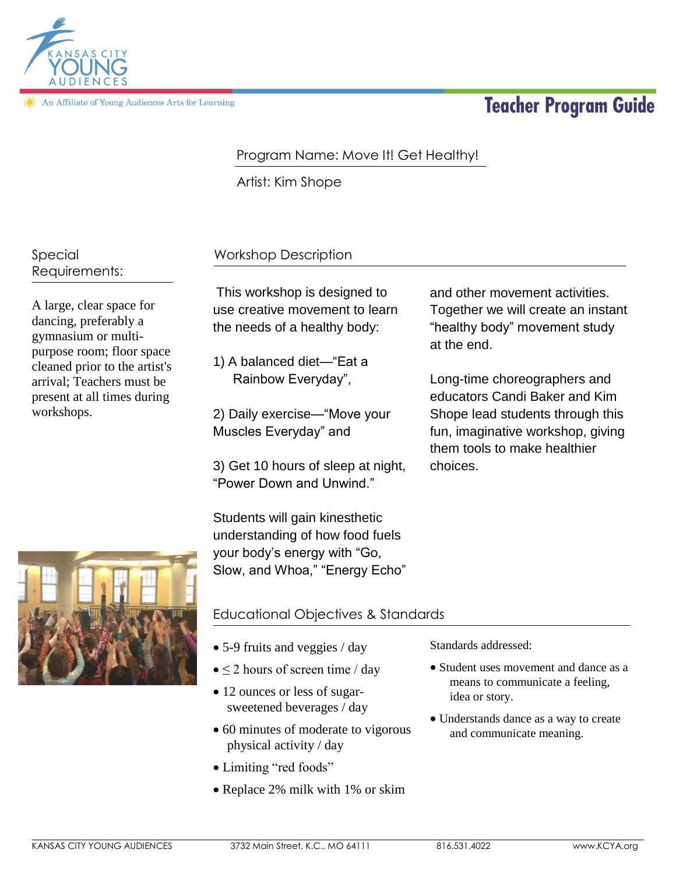

In Affiliate of Young Audiences Arts for Learning

# **Teacher Program Guide**

and other movement activities. Together we will create an instant "healthy body" movement study

Long-time choreographers and educators Candi Baker and Kim Shope lead students through this fun, imaginative workshop, giving them tools to make healthier

at the end.

choices.

## Program Name: Move It! Get Healthy!

Artist: Kim Shope

#### Special Requirements:

A large, clear space for dancing, preferably a gymnasium or multipurpose room; floor space cleaned prior to the artist's arrival; Teachers must be present at all times during workshops.

# Workshop Description

This workshop is designed to use creative movement to learn the needs of a healthy body:

1) A balanced diet—"Eat a Rainbow Everyday",

2) Daily exercise—"Move your Muscles Everyday" and

3) Get 10 hours of sleep at night, "Power Down and Unwind."

Students will gain kinesthetic understanding of how food fuels your body's energy with "Go, Slow, and Whoa," "Energy Echo"

### Educational Objectives & Standards

- 5-9 fruits and veggies / day
- $\bullet \leq 2$  hours of screen time / day
- 12 ounces or less of sugarsweetened beverages / day
- 60 minutes of moderate to vigorous physical activity / day
- Limiting "red foods"
- Replace 2% milk with 1% or skim

Standards addressed:

- Student uses movement and dance as a means to communicate a feeling, idea or story.
- Understands dance as a way to create and communicate meaning.